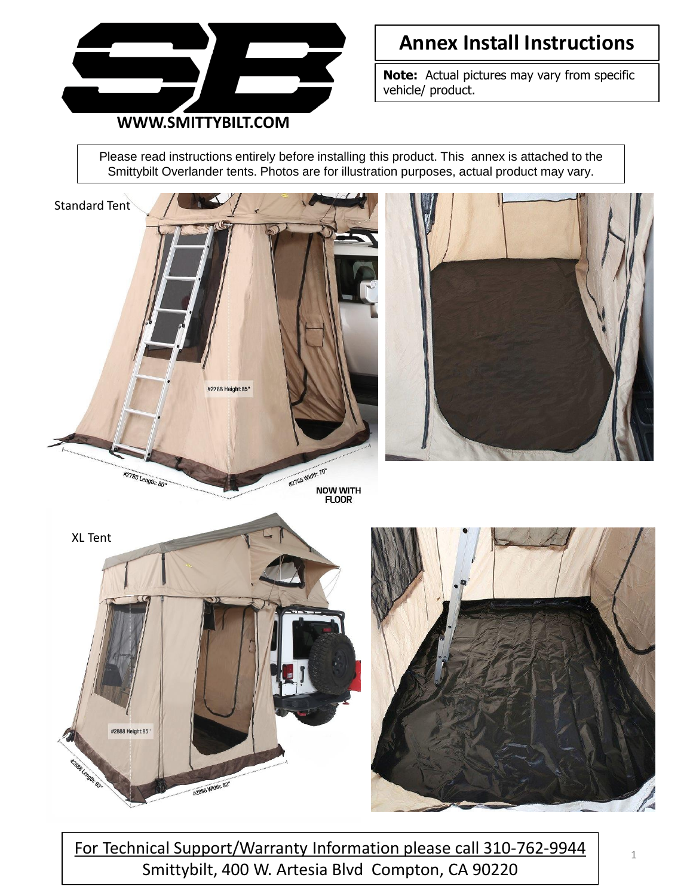

**Note:** Actual pictures may vary from specific vehicle/ product.

Please read instructions entirely before installing this product. This annex is attached to the Smittybilt Overlander tents. Photos are for illustration purposes, actual product may vary.



For Technical Support/Warranty Information please call 310-762-9944 Smittybilt, 400 W. Artesia Blvd Compton, CA 90220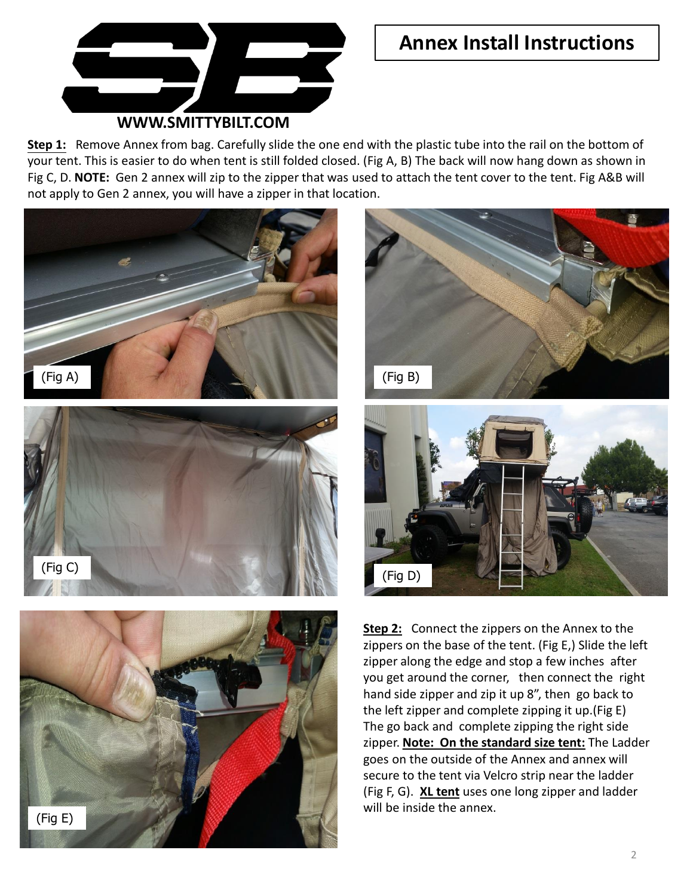

#### **WWW.SMITTYBILT.COM**

**Step 1:** Remove Annex from bag. Carefully slide the one end with the plastic tube into the rail on the bottom of your tent. This is easier to do when tent is still folded closed. (Fig A, B) The back will now hang down as shown in Fig C, D. **NOTE:** Gen 2 annex will zip to the zipper that was used to attach the tent cover to the tent. Fig A&B will not apply to Gen 2 annex, you will have a zipper in that location.





**Step 2:** Connect the zippers on the Annex to the zippers on the base of the tent. (Fig E,) Slide the left zipper along the edge and stop a few inches after you get around the corner, then connect the right hand side zipper and zip it up 8", then go back to the left zipper and complete zipping it up.(Fig E) The go back and complete zipping the right side zipper. **Note: On the standard size tent:** The Ladder goes on the outside of the Annex and annex will secure to the tent via Velcro strip near the ladder (Fig F, G). **XL tent** uses one long zipper and ladder will be inside the annex.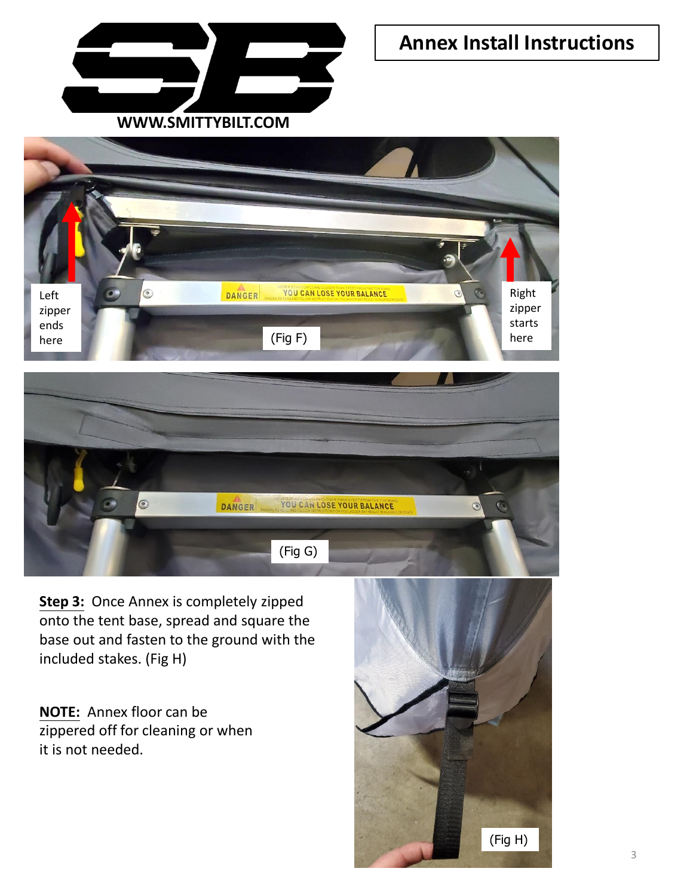





**Step 3:** Once Annex is completely zipped onto the tent base, spread and square the base out and fasten to the ground with the included stakes. (Fig H)

**NOTE:** Annex floor can be zippered off for cleaning or when it is not needed.

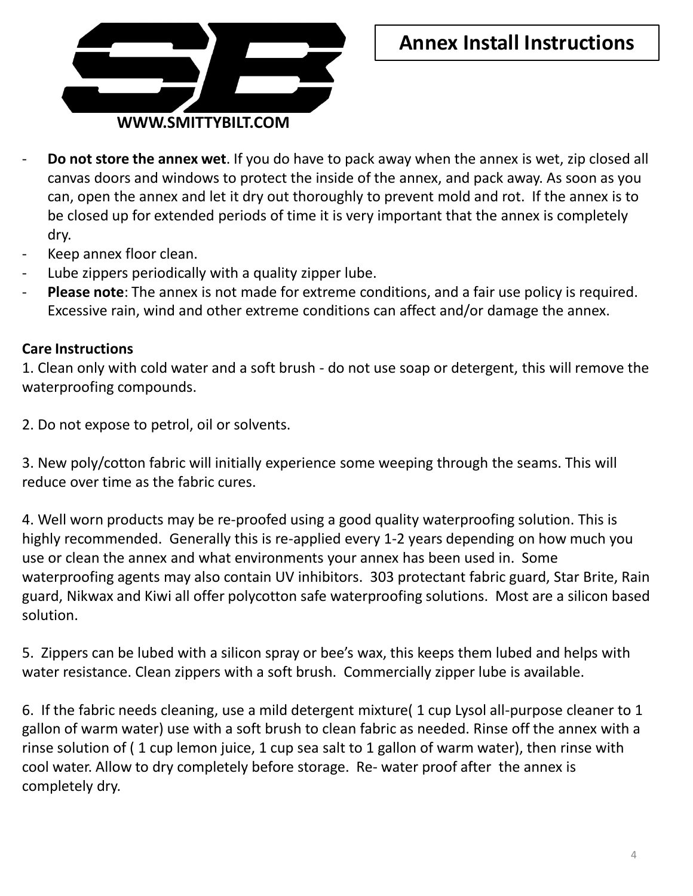

- **Do not store the annex wet**. If you do have to pack away when the annex is wet, zip closed all canvas doors and windows to protect the inside of the annex, and pack away. As soon as you can, open the annex and let it dry out thoroughly to prevent mold and rot. If the annex is to be closed up for extended periods of time it is very important that the annex is completely dry.
- Keep annex floor clean.
- Lube zippers periodically with a quality zipper lube.
- **Please note**: The annex is not made for extreme conditions, and a fair use policy is required. Excessive rain, wind and other extreme conditions can affect and/or damage the annex.

#### **Care Instructions**

1. Clean only with cold water and a soft brush - do not use soap or detergent, this will remove the waterproofing compounds.

2. Do not expose to petrol, oil or solvents.

3. New poly/cotton fabric will initially experience some weeping through the seams. This will reduce over time as the fabric cures.

4. Well worn products may be re-proofed using a good quality waterproofing solution. This is highly recommended. Generally this is re-applied every 1-2 years depending on how much you use or clean the annex and what environments your annex has been used in. Some waterproofing agents may also contain UV inhibitors. 303 protectant fabric guard, Star Brite, Rain guard, Nikwax and Kiwi all offer polycotton safe waterproofing solutions. Most are a silicon based solution.

5. Zippers can be lubed with a silicon spray or bee's wax, this keeps them lubed and helps with water resistance. Clean zippers with a soft brush. Commercially zipper lube is available.

6. If the fabric needs cleaning, use a mild detergent mixture( 1 cup Lysol all-purpose cleaner to 1 gallon of warm water) use with a soft brush to clean fabric as needed. Rinse off the annex with a rinse solution of ( 1 cup lemon juice, 1 cup sea salt to 1 gallon of warm water), then rinse with cool water. Allow to dry completely before storage. Re- water proof after the annex is completely dry.